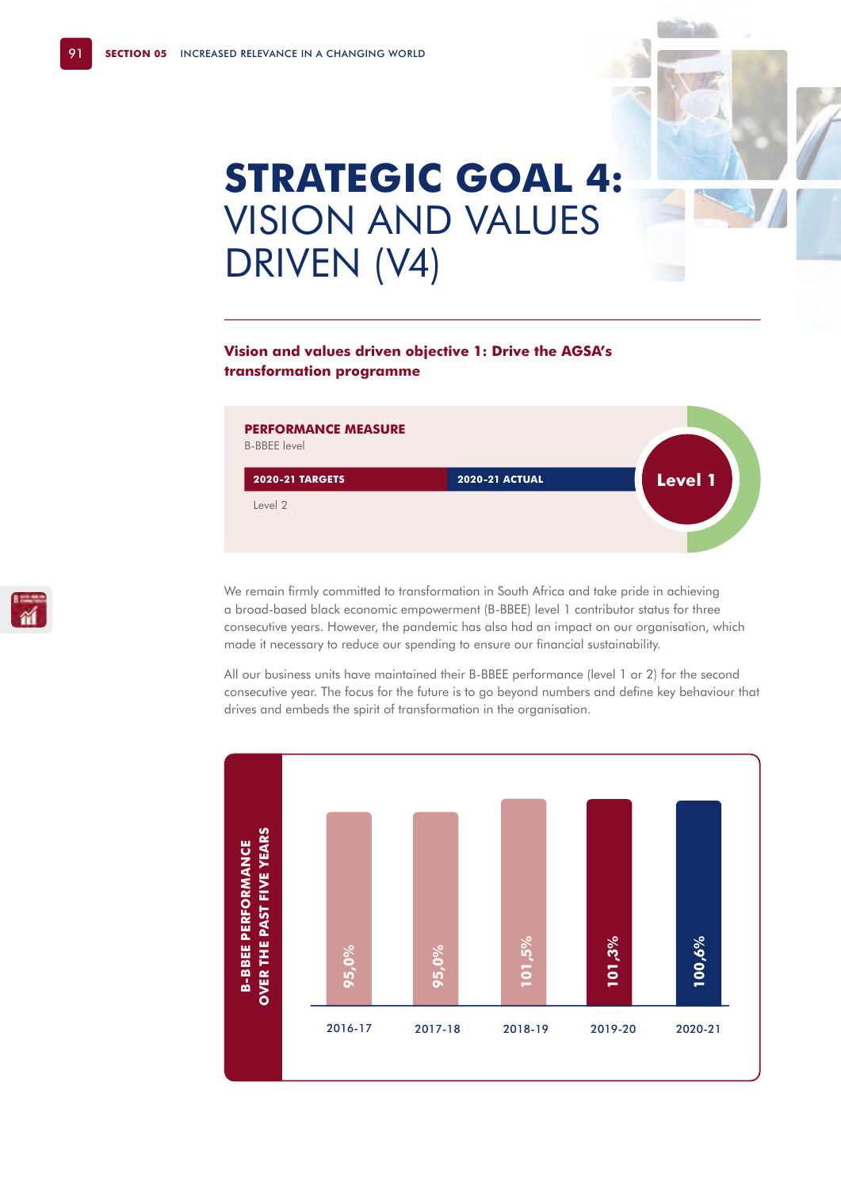# **STRATEGIC GOAL 4:**  VISION AND VALUES DRIVEN (V4)

# **Vision and values driven objective 1: Drive the AGSA's transformation programme**



We remain firmly committed to transformation in South Africa and take pride in achieving a broad-based black economic empowerment (B-BBEE) level 1 contributor status for three consecutive years. However, the pandemic has also had an impact on our organisation, which made it necessary to reduce our spending to ensure our financial sustainability.

All our business units have maintained their B-BBEE performance (level 1 or 2) for the second consecutive year. The focus for the future is to go beyond numbers and define key behaviour that drives and embeds the spirit of transformation in the organisation.

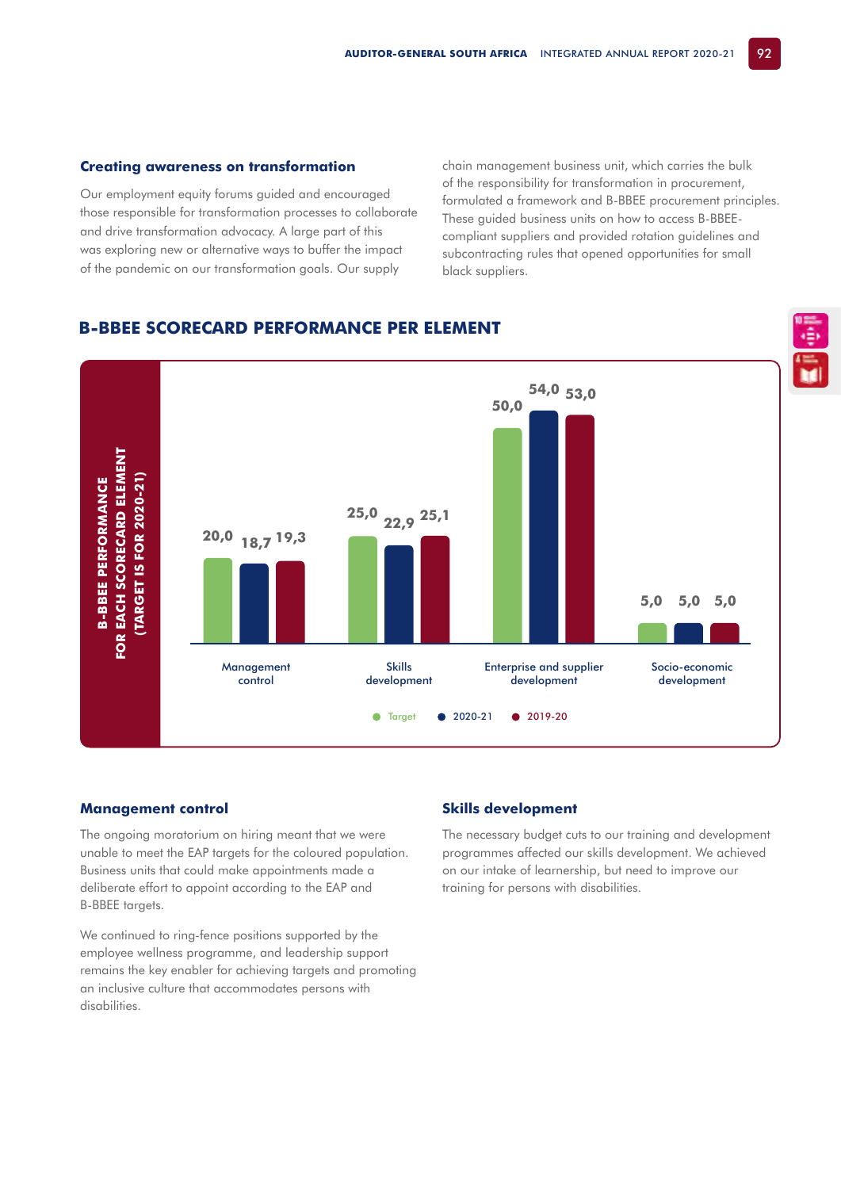#### **Creating awareness on transformation**

Our employment equity forums guided and encouraged those responsible for transformation processes to collaborate and drive transformation advocacy. A large part of this was exploring new or alternative ways to buffer the impact of the pandemic on our transformation goals. Our supply

chain management business unit, which carries the bulk of the responsibility for transformation in procurement, formulated a framework and B-BBEE procurement principles. These guided business units on how to access B-BBEEcompliant suppliers and provided rotation guidelines and subcontracting rules that opened opportunities for small black suppliers.

# **B-BBEE SCORECARD PERFORMANCE PER ELEMENT**



#### **Management control**

The ongoing moratorium on hiring meant that we were unable to meet the EAP targets for the coloured population. Business units that could make appointments made a deliberate effort to appoint according to the EAP and B-BBEE targets.

We continued to ring-fence positions supported by the employee wellness programme, and leadership support remains the key enabler for achieving targets and promoting an inclusive culture that accommodates persons with disabilities.

## **Skills development**

The necessary budget cuts to our training and development programmes affected our skills development. We achieved on our intake of learnership, but need to improve our training for persons with disabilities.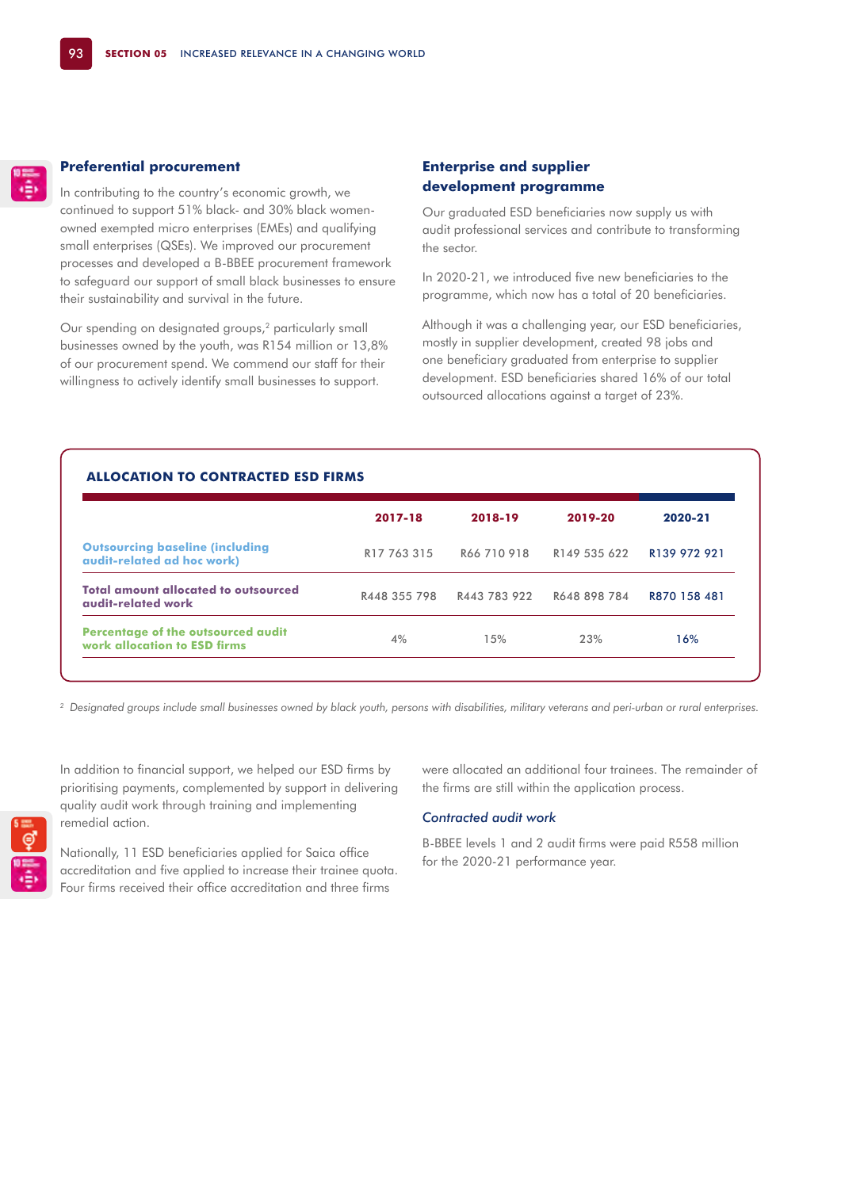#### **Preferential procurement**

In contributing to the country's economic growth, we continued to support 51% black- and 30% black womenowned exempted micro enterprises (EMEs) and qualifying small enterprises (QSEs). We improved our procurement processes and developed a B-BBEE procurement framework to safeguard our support of small black businesses to ensure their sustainability and survival in the future.

Our spending on designated groups,<sup>2</sup> particularly small businesses owned by the youth, was R154 million or 13,8% of our procurement spend. We commend our staff for their willingness to actively identify small businesses to support.

# **Enterprise and supplier development programme**

Our graduated ESD beneficiaries now supply us with audit professional services and contribute to transforming the sector.

In 2020-21, we introduced five new beneficiaries to the programme, which now has a total of 20 beneficiaries.

Although it was a challenging year, our ESD beneficiaries, mostly in supplier development, created 98 jobs and one beneficiary graduated from enterprise to supplier development. ESD beneficiaries shared 16% of our total outsourced allocations against a target of 23%.

|                                                                           | 2017-18                 | 2018-19      | 2019-20      | 2020-21      |
|---------------------------------------------------------------------------|-------------------------|--------------|--------------|--------------|
| <b>Outsourcing baseline (including</b><br>audit-related ad hoc work)      | R <sub>17</sub> 763 315 | R66 710 918  | R149 535 622 | R139 972 921 |
| <b>Total amount allocated to outsourced</b><br>audit-related work         | R448 355 798            | R443 783 922 | R648 898 784 | R870 158 481 |
| <b>Percentage of the outsourced audit</b><br>work allocation to ESD firms | 4%                      | 15%          | 23%          | 16%          |

*2 Designated groups include small businesses owned by black youth, persons with disabilities, military veterans and peri-urban or rural enterprises.* 

In addition to financial support, we helped our ESD firms by prioritising payments, complemented by support in delivering quality audit work through training and implementing remedial action.

Nationally, 11 ESD beneficiaries applied for Saica office accreditation and five applied to increase their trainee quota. Four firms received their office accreditation and three firms

were allocated an additional four trainees. The remainder of the firms are still within the application process.

### *Contracted audit work*

B-BBEE levels 1 and 2 audit firms were paid R558 million for the 2020-21 performance year.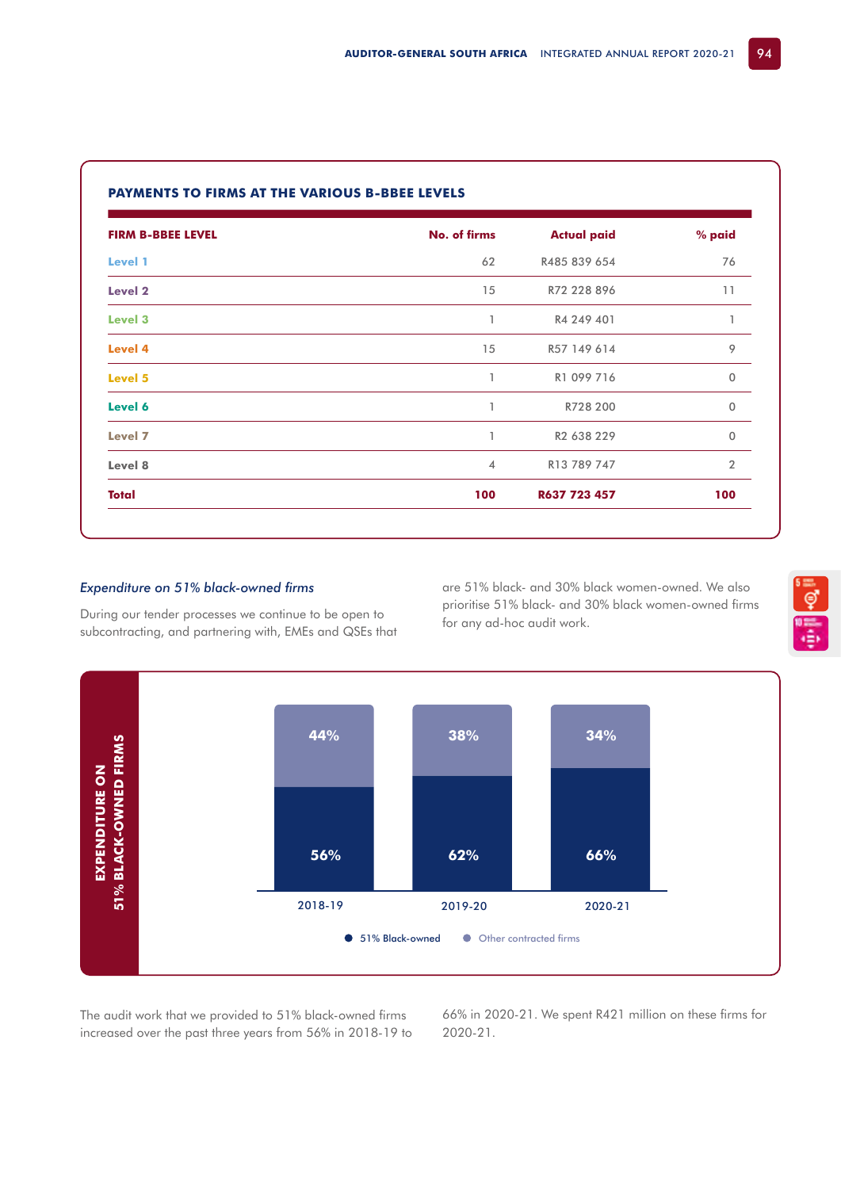| <b>FIRM B-BBEE LEVEL</b> | No. of firms   | <b>Actual paid</b> | % paid         |
|--------------------------|----------------|--------------------|----------------|
| Level 1                  | 62             | R485 839 654       | 76             |
| Level <sub>2</sub>       | 15             | R72 228 896        | 11             |
| Level 3                  | $\mathbf{1}$   | R4 249 401         | $\mathbf{I}$   |
| Level 4                  | 15             | R57 149 614        | 9              |
| Level 5                  | 1              | R1 099 716         | $\mathbf 0$    |
| Level 6                  | 1              | R728 200           | $\Omega$       |
| Level 7                  | 1              | R2 638 229         | $\mathbf 0$    |
| Level 8                  | $\overline{4}$ | R13 789 747        | $\overline{2}$ |
| Total                    | 100            | R637 723 457       | 100            |

## **PAYMENTS TO FIRMS AT THE VARIOUS B-BBEE LEVELS**

## *Expenditure on 51% black-owned firms*

During our tender processes we continue to be open to subcontracting, and partnering with, EMEs and QSEs that are 51% black- and 30% black women-owned. We also prioritise 51% black- and 30% black women-owned firms for any ad-hoc audit work.



The audit work that we provided to 51% black-owned firms increased over the past three years from 56% in 2018-19 to 66% in 2020-21. We spent R421 million on these firms for 2020-21.